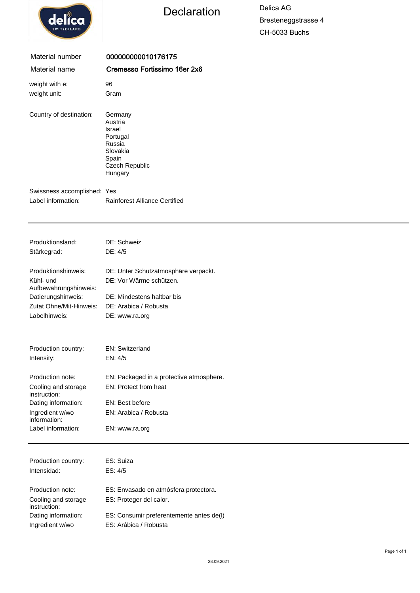

instruction:

# Declaration Delica AG

Bresteneggstrasse 4 CH-5033 Buchs

| Material number                         | 000000000010176175                                                                                   |
|-----------------------------------------|------------------------------------------------------------------------------------------------------|
| Material name                           | Cremesso Fortissimo 16er 2x6                                                                         |
| weight with e:                          | 96                                                                                                   |
| weight unit:                            | Gram                                                                                                 |
| Country of destination:                 | Germany<br>Austria<br>Israel<br>Portugal<br>Russia<br>Slovakia<br>Spain<br>Czech Republic<br>Hungary |
| Swissness accomplished: Yes             |                                                                                                      |
| Label information:                      | <b>Rainforest Alliance Certified</b>                                                                 |
|                                         |                                                                                                      |
|                                         |                                                                                                      |
| Produktionsland:                        | DE: Schweiz                                                                                          |
| Stärkegrad:                             | DE: 4/5                                                                                              |
| Produktionshinweis:                     | DE: Unter Schutzatmosphäre verpackt.                                                                 |
| Kühl- und<br>Aufbewahrungshinweis:      | DE: Vor Wärme schützen.                                                                              |
| Datierungshinweis:                      | DE: Mindestens haltbar bis                                                                           |
| Zutat Ohne/Mit-Hinweis:                 | DE: Arabica / Robusta                                                                                |
| Labelhinweis:                           | DE: www.ra.org                                                                                       |
|                                         |                                                                                                      |
| Production country:                     | EN: Switzerland                                                                                      |
| Intensity:                              | EN: 4/5                                                                                              |
| Production note:                        |                                                                                                      |
|                                         | EN: Packaged in a protective atmosphere.<br>EN: Protect from heat                                    |
| Cooling and storage<br>instruction:     |                                                                                                      |
| Dating information:                     | EN: Best before                                                                                      |
| Ingredient w/wo<br>information:         | EN: Arabica / Robusta                                                                                |
| Label information:                      | EN: www.ra.org                                                                                       |
|                                         |                                                                                                      |
| Production country:                     | ES: Suiza                                                                                            |
| Intensidad:                             | ES: 4/5                                                                                              |
|                                         |                                                                                                      |
| Production note:<br>Cooling and storage | ES: Envasado en atmósfera protectora.<br>ES: Proteger del calor.                                     |

Dating information: ES: Consumir preferentemente antes de(l)

Ingredient w/wo ES: Arábica / Robusta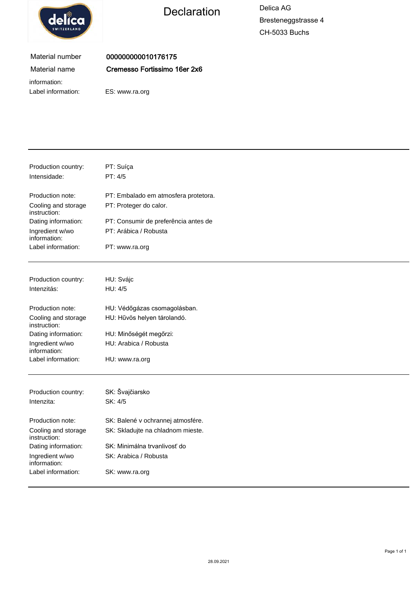

Declaration Delica AG

Bresteneggstrasse 4 CH-5033 Buchs

### Material number Material name

000000000010176175 Cremesso Fortissimo 16er 2x6

information:

Label information: ES: www.ra.org

| Production country:<br>Intensidade: | PT: Suíça<br>PT: 4/5                 |
|-------------------------------------|--------------------------------------|
| Production note:                    | PT: Embalado em atmosfera protetora. |
| Cooling and storage<br>instruction: | PT: Proteger do calor.               |
| Dating information:                 | PT: Consumir de preferência antes de |
| Ingredient w/wo<br>information:     | PT: Arábica / Robusta                |
| Label information:                  | PT: www.ra.org                       |
| Production country:                 | HU: Svájc                            |
| Intenzitás:                         | HU: 4/5                              |
| Production note:                    | HU: Védőgázas csomagolásban.         |
| Cooling and storage<br>instruction: | HU: Hűvös helyen tárolandó.          |
| Dating information:                 | HU: Minőségét megőrzi:               |
| Ingredient w/wo<br>information:     | HU: Arabica / Robusta                |
| Label information:                  | HU: www.ra.org                       |
|                                     |                                      |
| Production country:                 | SK: Švajčiarsko                      |
| Intenzita:                          | SK: 4/5                              |
| Production note:                    | SK: Balené v ochrannej atmosfére.    |
| Cooling and storage<br>instruction: | SK: Skladujte na chladnom mieste.    |
| Dating information:                 | SK: Minimálna trvanlivosť do         |
| Ingredient w/wo<br>information:     | SK: Arabica / Robusta                |
| Label information:                  | SK: www.ra.org                       |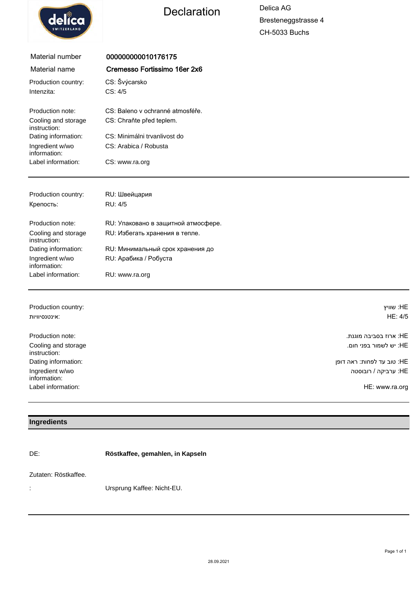

# Declaration Delica AG

Bresteneggstrasse 4 CH-5033 Buchs

| Material number                     | 000000000010176175                  |           |
|-------------------------------------|-------------------------------------|-----------|
| Material name                       | Cremesso Fortissimo 16er 2x6        |           |
| Production country:                 | CS: Švýcarsko                       |           |
| Intenzita:                          | CS: 4/5                             |           |
| Production note:                    | CS: Baleno y ochranné atmosféře.    |           |
| Cooling and storage<br>instruction: | CS: Chraňte před teplem.            |           |
| Dating information:                 | CS: Minimálni trvanlivost do        |           |
| Ingredient w/wo<br>information:     | CS: Arabica / Robusta               |           |
| Label information:                  | CS: www.ra.org                      |           |
|                                     |                                     |           |
| Production country:                 | RU: Швейцария                       |           |
| Крепость:                           | RU: 4/5                             |           |
| Production note:                    | RU: Упаковано в защитной атмосфере. |           |
| Cooling and storage<br>instruction: | RU: Избегать хранения в тепле.      |           |
| Dating information:                 | RU: Минимальный срок хранения до    |           |
| Ingredient w/wo<br>information:     | RU: Арабика / Робуста               |           |
| Label information:                  | RU: www.ra.org                      |           |
|                                     |                                     |           |
| Production country:                 |                                     | HE: שוויץ |
| אינטנסיוויות:                       |                                     | HE: 4/5   |

| Production note:                    | :HE: ארוז בסביבה מוגנת     |
|-------------------------------------|----------------------------|
| Cooling and storage<br>instruction: | :HE יש לשמור בפני חום.     |
| Dating information:                 | HE: טוב עד לפחות: ראה דופן |
| Ingredient w/wo<br>information:     | :HE ערביקה / רובוסטה       |
| Label information:                  | HE: www.ra.org             |

#### **Ingredients**

DE: **Röstkaffee, gemahlen, in Kapseln**

#### Zutaten: Röstkaffee.

: Ursprung Kaffee: Nicht-EU.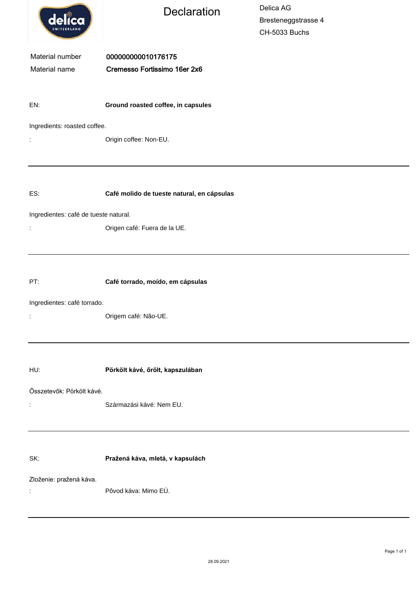| delica                                | <b>Declaration</b>                         | Delica AG<br>Bresteneggstrasse 4<br>CH-5033 Buchs |  |  |  |
|---------------------------------------|--------------------------------------------|---------------------------------------------------|--|--|--|
| Material number                       | 000000000010176175                         |                                                   |  |  |  |
| Material name                         | Cremesso Fortissimo 16er 2x6               |                                                   |  |  |  |
| EN:                                   | Ground roasted coffee, in capsules         |                                                   |  |  |  |
| Ingredients: roasted coffee.          |                                            |                                                   |  |  |  |
| ţ,                                    | Origin coffee: Non-EU.                     |                                                   |  |  |  |
|                                       |                                            |                                                   |  |  |  |
| ES:                                   | Café molido de tueste natural, en cápsulas |                                                   |  |  |  |
| Ingredientes: café de tueste natural. |                                            |                                                   |  |  |  |
| t,                                    | Origen café: Fuera de la UE.               |                                                   |  |  |  |
|                                       |                                            |                                                   |  |  |  |
| PT:                                   | Café torrado, moído, em cápsulas           |                                                   |  |  |  |
| Ingredientes: café torrado.           |                                            |                                                   |  |  |  |
|                                       | Origem café: Não-UE.                       |                                                   |  |  |  |
|                                       |                                            |                                                   |  |  |  |
| HU:                                   | Pörkölt kávé, őrölt, kapszulában           |                                                   |  |  |  |
| Összetevők: Pörkölt kávé.             |                                            |                                                   |  |  |  |
| t,                                    | Származási kávé: Nem EU.                   |                                                   |  |  |  |
|                                       |                                            |                                                   |  |  |  |
| SK:                                   | Pražená káva, mletá, v kapsulách           |                                                   |  |  |  |
| Zloženie: pražená káva.<br>t,         | Pôvod káva: Mimo EÚ.                       |                                                   |  |  |  |
|                                       |                                            |                                                   |  |  |  |